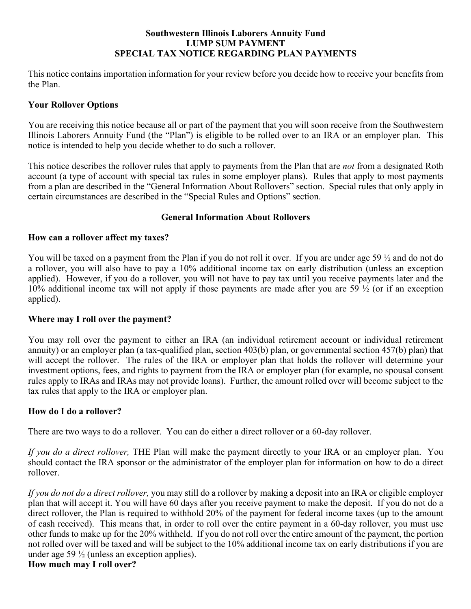#### **Southwestern Illinois Laborers Annuity Fund LUMP SUM PAYMENT SPECIAL TAX NOTICE REGARDING PLAN PAYMENTS**

This notice contains importation information for your review before you decide how to receive your benefits from the Plan.

## **Your Rollover Options**

You are receiving this notice because all or part of the payment that you will soon receive from the Southwestern Illinois Laborers Annuity Fund (the "Plan") is eligible to be rolled over to an IRA or an employer plan. This notice is intended to help you decide whether to do such a rollover.

This notice describes the rollover rules that apply to payments from the Plan that are *not* from a designated Roth account (a type of account with special tax rules in some employer plans). Rules that apply to most payments from a plan are described in the "General Information About Rollovers" section. Special rules that only apply in certain circumstances are described in the "Special Rules and Options" section.

### **General Information About Rollovers**

#### **How can a rollover affect my taxes?**

You will be taxed on a payment from the Plan if you do not roll it over. If you are under age 59  $\frac{1}{2}$  and do not do a rollover, you will also have to pay a 10% additional income tax on early distribution (unless an exception applied). However, if you do a rollover, you will not have to pay tax until you receive payments later and the 10% additional income tax will not apply if those payments are made after you are 59 ½ (or if an exception applied).

#### **Where may I roll over the payment?**

You may roll over the payment to either an IRA (an individual retirement account or individual retirement annuity) or an employer plan (a tax-qualified plan, section 403(b) plan, or governmental section 457(b) plan) that will accept the rollover. The rules of the IRA or employer plan that holds the rollover will determine your investment options, fees, and rights to payment from the IRA or employer plan (for example, no spousal consent rules apply to IRAs and IRAs may not provide loans). Further, the amount rolled over will become subject to the tax rules that apply to the IRA or employer plan.

#### **How do I do a rollover?**

There are two ways to do a rollover. You can do either a direct rollover or a 60-day rollover.

*If you do a direct rollover,* THE Plan will make the payment directly to your IRA or an employer plan. You should contact the IRA sponsor or the administrator of the employer plan for information on how to do a direct rollover.

*If you do not do a direct rollover,* you may still do a rollover by making a deposit into an IRA or eligible employer plan that will accept it. You will have 60 days after you receive payment to make the deposit. If you do not do a direct rollover, the Plan is required to withhold 20% of the payment for federal income taxes (up to the amount of cash received). This means that, in order to roll over the entire payment in a 60-day rollover, you must use other funds to make up for the 20% withheld. If you do not roll over the entire amount of the payment, the portion not rolled over will be taxed and will be subject to the 10% additional income tax on early distributions if you are under age 59  $\frac{1}{2}$  (unless an exception applies).

### **How much may I roll over?**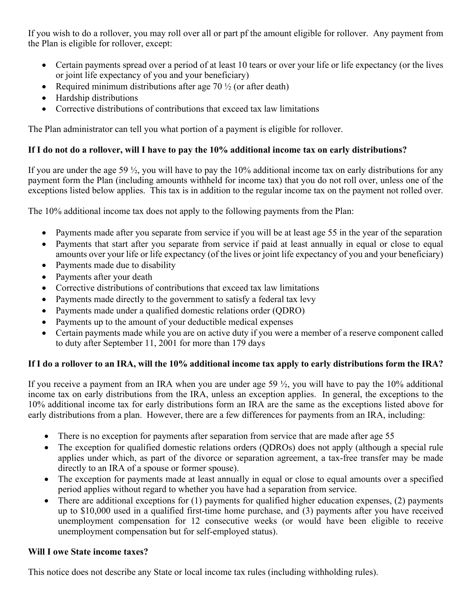If you wish to do a rollover, you may roll over all or part pf the amount eligible for rollover. Any payment from the Plan is eligible for rollover, except:

- Certain payments spread over a period of at least 10 tears or over your life or life expectancy (or the lives or joint life expectancy of you and your beneficiary)
- Required minimum distributions after age  $70\frac{1}{2}$  (or after death)
- Hardship distributions
- Corrective distributions of contributions that exceed tax law limitations

The Plan administrator can tell you what portion of a payment is eligible for rollover.

# **If I do not do a rollover, will I have to pay the 10% additional income tax on early distributions?**

If you are under the age 59 ½, you will have to pay the 10% additional income tax on early distributions for any payment form the Plan (including amounts withheld for income tax) that you do not roll over, unless one of the exceptions listed below applies. This tax is in addition to the regular income tax on the payment not rolled over.

The 10% additional income tax does not apply to the following payments from the Plan:

- Payments made after you separate from service if you will be at least age 55 in the year of the separation
- Payments that start after you separate from service if paid at least annually in equal or close to equal amounts over your life or life expectancy (of the lives or joint life expectancy of you and your beneficiary)
- Payments made due to disability
- Payments after your death
- Corrective distributions of contributions that exceed tax law limitations
- Payments made directly to the government to satisfy a federal tax levy
- Payments made under a qualified domestic relations order (QDRO)
- Payments up to the amount of your deductible medical expenses
- Certain payments made while you are on active duty if you were a member of a reserve component called to duty after September 11, 2001 for more than 179 days

# **If I do a rollover to an IRA, will the 10% additional income tax apply to early distributions form the IRA?**

If you receive a payment from an IRA when you are under age 59  $\frac{1}{2}$ , you will have to pay the 10% additional income tax on early distributions from the IRA, unless an exception applies. In general, the exceptions to the 10% additional income tax for early distributions form an IRA are the same as the exceptions listed above for early distributions from a plan. However, there are a few differences for payments from an IRA, including:

- There is no exception for payments after separation from service that are made after age 55
- The exception for qualified domestic relations orders (QDROs) does not apply (although a special rule applies under which, as part of the divorce or separation agreement, a tax-free transfer may be made directly to an IRA of a spouse or former spouse).
- The exception for payments made at least annually in equal or close to equal amounts over a specified period applies without regard to whether you have had a separation from service.
- There are additional exceptions for  $(1)$  payments for qualified higher education expenses,  $(2)$  payments up to \$10,000 used in a qualified first-time home purchase, and (3) payments after you have received unemployment compensation for 12 consecutive weeks (or would have been eligible to receive unemployment compensation but for self-employed status).

## **Will I owe State income taxes?**

This notice does not describe any State or local income tax rules (including withholding rules).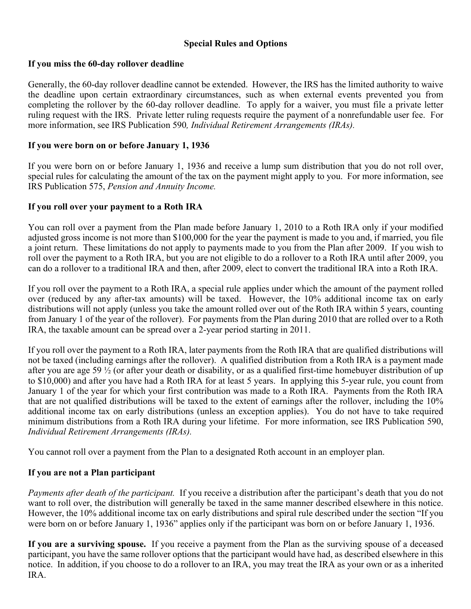## **Special Rules and Options**

### **If you miss the 60-day rollover deadline**

Generally, the 60-day rollover deadline cannot be extended. However, the IRS has the limited authority to waive the deadline upon certain extraordinary circumstances, such as when external events prevented you from completing the rollover by the 60-day rollover deadline. To apply for a waiver, you must file a private letter ruling request with the IRS. Private letter ruling requests require the payment of a nonrefundable user fee. For more information, see IRS Publication 590*, Individual Retirement Arrangements (IRAs).*

### **If you were born on or before January 1, 1936**

If you were born on or before January 1, 1936 and receive a lump sum distribution that you do not roll over, special rules for calculating the amount of the tax on the payment might apply to you. For more information, see IRS Publication 575, *Pension and Annuity Income.*

#### **If you roll over your payment to a Roth IRA**

You can roll over a payment from the Plan made before January 1, 2010 to a Roth IRA only if your modified adjusted gross income is not more than \$100,000 for the year the payment is made to you and, if married, you file a joint return. These limitations do not apply to payments made to you from the Plan after 2009. If you wish to roll over the payment to a Roth IRA, but you are not eligible to do a rollover to a Roth IRA until after 2009, you can do a rollover to a traditional IRA and then, after 2009, elect to convert the traditional IRA into a Roth IRA.

If you roll over the payment to a Roth IRA, a special rule applies under which the amount of the payment rolled over (reduced by any after-tax amounts) will be taxed. However, the 10% additional income tax on early distributions will not apply (unless you take the amount rolled over out of the Roth IRA within 5 years, counting from January 1 of the year of the rollover). For payments from the Plan during 2010 that are rolled over to a Roth IRA, the taxable amount can be spread over a 2-year period starting in 2011.

If you roll over the payment to a Roth IRA, later payments from the Roth IRA that are qualified distributions will not be taxed (including earnings after the rollover). A qualified distribution from a Roth IRA is a payment made after you are age 59 ½ (or after your death or disability, or as a qualified first-time homebuyer distribution of up to \$10,000) and after you have had a Roth IRA for at least 5 years. In applying this 5-year rule, you count from January 1 of the year for which your first contribution was made to a Roth IRA. Payments from the Roth IRA that are not qualified distributions will be taxed to the extent of earnings after the rollover, including the 10% additional income tax on early distributions (unless an exception applies). You do not have to take required minimum distributions from a Roth IRA during your lifetime. For more information, see IRS Publication 590, *Individual Retirement Arrangements (IRAs).*

You cannot roll over a payment from the Plan to a designated Roth account in an employer plan.

## **If you are not a Plan participant**

*Payments after death of the participant.* If you receive a distribution after the participant's death that you do not want to roll over, the distribution will generally be taxed in the same manner described elsewhere in this notice. However, the 10% additional income tax on early distributions and spiral rule described under the section "If you were born on or before January 1, 1936" applies only if the participant was born on or before January 1, 1936.

**If you are a surviving spouse.** If you receive a payment from the Plan as the surviving spouse of a deceased participant, you have the same rollover options that the participant would have had, as described elsewhere in this notice. In addition, if you choose to do a rollover to an IRA, you may treat the IRA as your own or as a inherited IRA.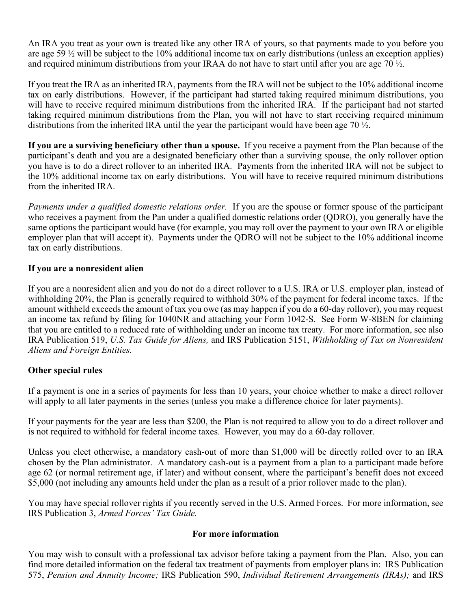An IRA you treat as your own is treated like any other IRA of yours, so that payments made to you before you are age 59 ½ will be subject to the 10% additional income tax on early distributions (unless an exception applies) and required minimum distributions from your IRAA do not have to start until after you are age 70 ½.

If you treat the IRA as an inherited IRA, payments from the IRA will not be subject to the 10% additional income tax on early distributions. However, if the participant had started taking required minimum distributions, you will have to receive required minimum distributions from the inherited IRA. If the participant had not started taking required minimum distributions from the Plan, you will not have to start receiving required minimum distributions from the inherited IRA until the year the participant would have been age 70 ½.

**If you are a surviving beneficiary other than a spouse.** If you receive a payment from the Plan because of the participant's death and you are a designated beneficiary other than a surviving spouse, the only rollover option you have is to do a direct rollover to an inherited IRA. Payments from the inherited IRA will not be subject to the 10% additional income tax on early distributions. You will have to receive required minimum distributions from the inherited IRA.

*Payments under a qualified domestic relations order.* If you are the spouse or former spouse of the participant who receives a payment from the Pan under a qualified domestic relations order (QDRO), you generally have the same options the participant would have (for example, you may roll over the payment to your own IRA or eligible employer plan that will accept it). Payments under the QDRO will not be subject to the 10% additional income tax on early distributions.

# **If you are a nonresident alien**

If you are a nonresident alien and you do not do a direct rollover to a U.S. IRA or U.S. employer plan, instead of withholding 20%, the Plan is generally required to withhold 30% of the payment for federal income taxes. If the amount withheld exceeds the amount of tax you owe (as may happen if you do a 60-day rollover), you may request an income tax refund by filing for 1040NR and attaching your Form 1042-S. See Form W-8BEN for claiming that you are entitled to a reduced rate of withholding under an income tax treaty. For more information, see also IRA Publication 519, *U.S. Tax Guide for Aliens,* and IRS Publication 5151, *Withholding of Tax on Nonresident Aliens and Foreign Entities.*

# **Other special rules**

If a payment is one in a series of payments for less than 10 years, your choice whether to make a direct rollover will apply to all later payments in the series (unless you make a difference choice for later payments).

If your payments for the year are less than \$200, the Plan is not required to allow you to do a direct rollover and is not required to withhold for federal income taxes. However, you may do a 60-day rollover.

Unless you elect otherwise, a mandatory cash-out of more than \$1,000 will be directly rolled over to an IRA chosen by the Plan administrator. A mandatory cash-out is a payment from a plan to a participant made before age 62 (or normal retirement age, if later) and without consent, where the participant's benefit does not exceed \$5,000 (not including any amounts held under the plan as a result of a prior rollover made to the plan).

You may have special rollover rights if you recently served in the U.S. Armed Forces. For more information, see IRS Publication 3, *Armed Forces' Tax Guide.*

## **For more information**

You may wish to consult with a professional tax advisor before taking a payment from the Plan. Also, you can find more detailed information on the federal tax treatment of payments from employer plans in: IRS Publication 575, *Pension and Annuity Income;* IRS Publication 590, *Individual Retirement Arrangements (IRAs);* and IRS